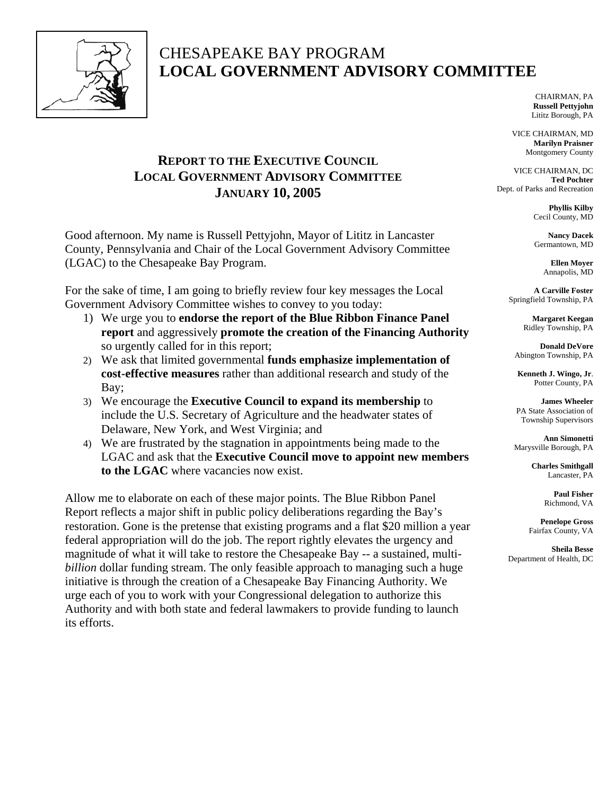

## CHESAPEAKE BAY PROGRAM **LOCAL GOVERNMENT ADVISORY COMMITTEE**

CHAIRMAN, PA **Russell Pettyjohn**  Lititz Borough, PA

VICE CHAIRMAN, MD **Marilyn Praisner**  Montgomery County

## VICE CHAIRMAN, DC **Ted Pochter**  Dept. of Parks and Recreation

**Phyllis Kilby**  Cecil County, MD

**Nancy Dacek**  Germantown, MD

> **Ellen Moyer**  Annapolis, MD

**A Carville Foster**  Springfield Township, PA

> **Margaret Keegan**  Ridley Township, PA

**Donald DeVore**  Abington Township, PA

**Kenneth J. Wingo, Jr**. Potter County, PA

**James Wheeler**  PA State Association of Township Supervisors

**Ann Simonetti**  Marysville Borough, PA

> **Charles Smithgall**  Lancaster, PA

> > **Paul Fisher**  Richmond, VA

**Penelope Gross**  Fairfax County, VA

**Sheila Besse**  Department of Health, DC

## **REPORT TO THE EXECUTIVE COUNCIL LOCAL GOVERNMENT ADVISORY COMMITTEE JANUARY 10, 2005**

Good afternoon. My name is Russell Pettyjohn, Mayor of Lititz in Lancaster County, Pennsylvania and Chair of the Local Government Advisory Committee (LGAC) to the Chesapeake Bay Program.

For the sake of time, I am going to briefly review four key messages the Local Government Advisory Committee wishes to convey to you today:

- 1) We urge you to **endorse the report of the Blue Ribbon Finance Panel report** and aggressively **promote the creation of the Financing Authority** so urgently called for in this report;
- 2) We ask that limited governmental **funds emphasize implementation of cost-effective measures** rather than additional research and study of the Bay;
- 3) We encourage the **Executive Council to expand its membership** to include the U.S. Secretary of Agriculture and the headwater states of Delaware, New York, and West Virginia; and
- 4) We are frustrated by the stagnation in appointments being made to the LGAC and ask that the **Executive Council move to appoint new members to the LGAC** where vacancies now exist.

Allow me to elaborate on each of these major points. The Blue Ribbon Panel Report reflects a major shift in public policy deliberations regarding the Bay's restoration. Gone is the pretense that existing programs and a flat \$20 million a year federal appropriation will do the job. The report rightly elevates the urgency and magnitude of what it will take to restore the Chesapeake Bay -- a sustained, multi*billion* dollar funding stream. The only feasible approach to managing such a huge initiative is through the creation of a Chesapeake Bay Financing Authority. We urge each of you to work with your Congressional delegation to authorize this Authority and with both state and federal lawmakers to provide funding to launch its efforts.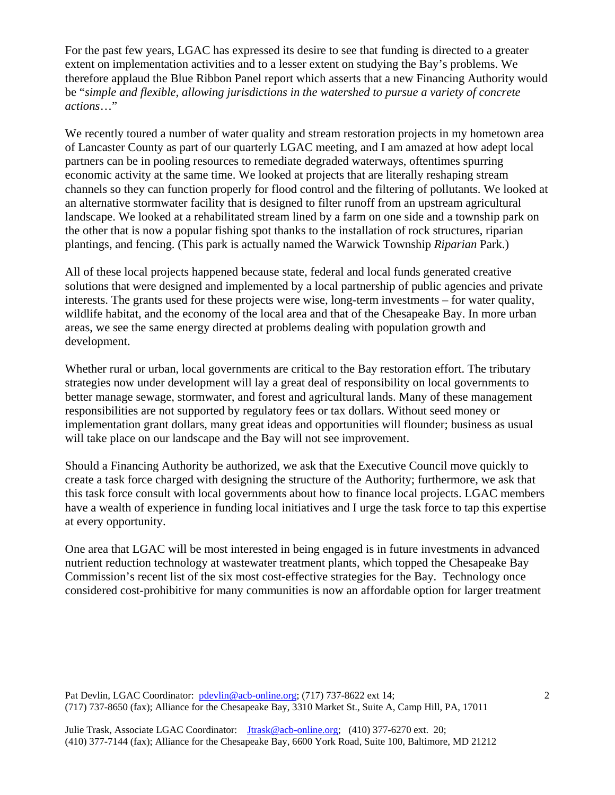For the past few years, LGAC has expressed its desire to see that funding is directed to a greater extent on implementation activities and to a lesser extent on studying the Bay's problems. We therefore applaud the Blue Ribbon Panel report which asserts that a new Financing Authority would be "*simple and flexible, allowing jurisdictions in the watershed to pursue a variety of concrete actions*…"

We recently toured a number of water quality and stream restoration projects in my hometown area of Lancaster County as part of our quarterly LGAC meeting, and I am amazed at how adept local partners can be in pooling resources to remediate degraded waterways, oftentimes spurring economic activity at the same time. We looked at projects that are literally reshaping stream channels so they can function properly for flood control and the filtering of pollutants. We looked at an alternative stormwater facility that is designed to filter runoff from an upstream agricultural landscape. We looked at a rehabilitated stream lined by a farm on one side and a township park on the other that is now a popular fishing spot thanks to the installation of rock structures, riparian plantings, and fencing. (This park is actually named the Warwick Township *Riparian* Park.)

All of these local projects happened because state, federal and local funds generated creative solutions that were designed and implemented by a local partnership of public agencies and private interests. The grants used for these projects were wise, long-term investments – for water quality, wildlife habitat, and the economy of the local area and that of the Chesapeake Bay. In more urban areas, we see the same energy directed at problems dealing with population growth and development.

Whether rural or urban, local governments are critical to the Bay restoration effort. The tributary strategies now under development will lay a great deal of responsibility on local governments to better manage sewage, stormwater, and forest and agricultural lands. Many of these management responsibilities are not supported by regulatory fees or tax dollars. Without seed money or implementation grant dollars, many great ideas and opportunities will flounder; business as usual will take place on our landscape and the Bay will not see improvement.

Should a Financing Authority be authorized, we ask that the Executive Council move quickly to create a task force charged with designing the structure of the Authority; furthermore, we ask that this task force consult with local governments about how to finance local projects. LGAC members have a wealth of experience in funding local initiatives and I urge the task force to tap this expertise at every opportunity.

One area that LGAC will be most interested in being engaged is in future investments in advanced nutrient reduction technology at wastewater treatment plants, which topped the Chesapeake Bay Commission's recent list of the six most cost-effective strategies for the Bay. Technology once considered cost-prohibitive for many communities is now an affordable option for larger treatment